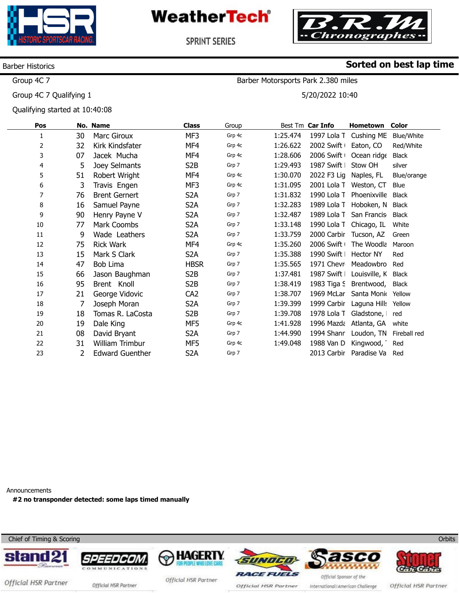



Barber Motorsports Park 2.380 miles

5/20/2022 10:40

**Sorted on best lap time**

**SPRINT SERIES** 

### Barber Historics

Group 4C 7

Group 4C 7 Qualifying 1

Qualifying started at 10:40:08

| Pos |    | No. Name               | <b>Class</b>     | Group  |          | Best Tm Car Info | Hometown         | <b>Color</b> |
|-----|----|------------------------|------------------|--------|----------|------------------|------------------|--------------|
| 1   | 30 | Marc Giroux            | MF3              | Grp 4c | 1:25.474 | 1997 Lola T      | Cushing ME       | Blue/White   |
| 2   | 32 | Kirk Kindsfater        | MF4              | Grp 4c | 1:26.622 | 2002 Swift       | Eaton, CO        | Red/White    |
| 3   | 07 | Jacek Mucha            | MF4              | Grp 4c | 1:28.606 | 2006 Swift       | Ocean ridge      | Black        |
| 4   | 5  | Joey Selmants          | S <sub>2</sub> B | Grp 7  | 1:29.493 | 1987 Swift       | Stow OH          | silver       |
| 5   | 51 | Robert Wright          | MF4              | Grp 4c | 1:30.070 | 2022 F3 Lig      | Naples, FL       | Blue/orange  |
| 6   | 3  | Travis Engen           | MF3              | Grp 4c | 1:31.095 | 2001 Lola T      | Weston, CT       | Blue         |
| 7   | 76 | <b>Brent Gernert</b>   | S <sub>2</sub> A | Grp 7  | 1:31.832 | 1990 Lola T      | Phoenixville     | <b>Black</b> |
| 8   | 16 | Samuel Payne           | S <sub>2</sub> A | Grp 7  | 1:32.283 | 1989 Lola T      | Hoboken, N       | Black        |
| 9   | 90 | Henry Payne V          | S <sub>2</sub> A | Grp 7  | 1:32.487 | 1989 Lola T      | San Francis      | <b>Black</b> |
| 10  | 77 | Mark Coombs            | S <sub>2</sub> A | Grp 7  | 1:33.148 | 1990 Lola T      | Chicago, IL      | White        |
| 11  | 9  | Wade Leathers          | S <sub>2</sub> A | Grp 7  | 1:33.759 | 2000 Carbir      | Tucson, AZ       | Green        |
| 12  | 75 | <b>Rick Wark</b>       | MF4              | Grp 4c | 1:35.260 | 2006 Swift       | The Woodla       | Maroon       |
| 13  | 15 | Mark S Clark           | S <sub>2</sub> A | Grp 7  | 1:35.388 | 1990 Swift       | <b>Hector NY</b> | Red          |
| 14  | 47 | Bob Lima               | <b>HBSR</b>      | Grp 7  | 1:35.565 | 1971 Chevr       | Meadowbro        | Red          |
| 15  | 66 | Jason Baughman         | S <sub>2</sub> B | Grp 7  | 1:37.481 | 1987 Swift       | Louisville, K    | Black        |
| 16  | 95 | Brent Knoll            | S <sub>2</sub> B | Grp 7  | 1:38.419 | 1983 Tiga S      | Brentwood,       | Black        |
| 17  | 21 | George Vidovic         | CA <sub>2</sub>  | Grp 7  | 1:38.707 | 1969 McLar       | Santa Monic      | Yellow       |
| 18  | 7  | Joseph Moran           | S <sub>2</sub> A | Grp 7  | 1:39.399 | 1999 Carbir      | Laguna Hills     | Yellow       |
| 19  | 18 | Tomas R. LaCosta       | S <sub>2</sub> B | Grp 7  | 1:39.708 | 1978 Lola T      | Gladstone,       | red          |
| 20  | 19 | Dale King              | MF5              | Grp 4c | 1:41.928 | 1996 Mazda       | Atlanta, GA      | white        |
| 21  | 08 | David Bryant           | S <sub>2</sub> A | Grp 7  | 1:44.990 | 1994 Shanr       | Loudon, TN       | Fireball red |
| 22  | 31 | William Trimbur        | MF5              | Grp 4c | 1:49.048 | 1988 Van D       | Kingwood,        | Red          |
| 23  | 2  | <b>Edward Guenther</b> | S <sub>2</sub> A | Grp 7  |          | 2013 Carbir      | Paradise Va      | Red          |
|     |    |                        |                  |        |          |                  |                  |              |

Announcements

**#2 no transponder detected: some laps timed manually** 

Chief of Timing & Scoring















Official HSR Partner official HSR Partner

Official HSR Partner

Official HSR Partner

International/American Challenge

Official HSR Partner

**Orbits**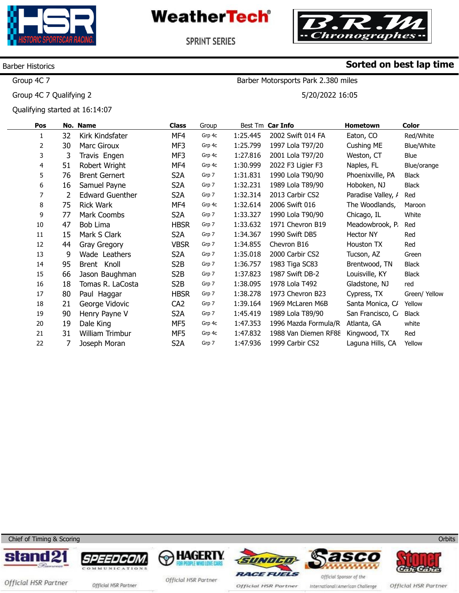



SPRINT SERIES

### Barber Historics

Group 4C 7

Group 4C 7 Qualifying 2

Qualifying started at 16:14:07

## **Sorted on best lap time**

Barber Motorsports Park 2.380 miles

5/20/2022 16:05

| Pos |    | No. Name               | Class            | Group  |          | Best Tm Car Info     | Hometown           | Color         |
|-----|----|------------------------|------------------|--------|----------|----------------------|--------------------|---------------|
| 1   | 32 | Kirk Kindsfater        | MF4              | Grp 4c | 1:25.445 | 2002 Swift 014 FA    | Eaton, CO          | Red/White     |
| 2   | 30 | Marc Giroux            | MF3              | Grp 4c | 1:25.799 | 1997 Lola T97/20     | Cushing ME         | Blue/White    |
| 3   | 3  | Travis Engen           | MF3              | Grp 4c | 1:27.816 | 2001 Lola T97/20     | Weston, CT         | Blue          |
| 4   | 51 | Robert Wright          | MF4              | Grp 4c | 1:30.999 | 2022 F3 Ligier F3    | Naples, FL         | Blue/orange   |
| 5   | 76 | <b>Brent Gernert</b>   | S <sub>2</sub> A | Grp 7  | 1:31.831 | 1990 Lola T90/90     | Phoenixville, PA   | Black         |
| 6   | 16 | Samuel Payne           | S <sub>2</sub> A | Grp 7  | 1:32.231 | 1989 Lola T89/90     | Hoboken, NJ        | Black         |
| 7   | 2  | <b>Edward Guenther</b> | S <sub>2</sub> A | Grp 7  | 1:32.314 | 2013 Carbir CS2      | Paradise Valley, / | Red           |
| 8   | 75 | <b>Rick Wark</b>       | MF4              | Grp 4c | 1:32.614 | 2006 Swift 016       | The Woodlands,     | Maroon        |
| 9   | 77 | Mark Coombs            | S <sub>2</sub> A | Grp 7  | 1:33.327 | 1990 Lola T90/90     | Chicago, IL        | White         |
| 10  | 47 | Bob Lima               | <b>HBSR</b>      | Grp 7  | 1:33.632 | 1971 Chevron B19     | Meadowbrook, P     | Red           |
| 11  | 15 | Mark S Clark           | S <sub>2</sub> A | Grp 7  | 1:34.367 | 1990 Swift DB5       | Hector NY          | Red           |
| 12  | 44 | Gray Gregory           | <b>VBSR</b>      | Grp 7  | 1:34.855 | Chevron B16          | Houston TX         | Red           |
| 13  | 9  | Wade Leathers          | S <sub>2</sub> A | Grp 7  | 1:35.018 | 2000 Carbir CS2      | Tucson, AZ         | Green         |
| 14  | 95 | Brent Knoll            | S <sub>2</sub> B | Grp 7  | 1:36.757 | 1983 Tiga SC83       | Brentwood, TN      | Black         |
| 15  | 66 | Jason Baughman         | S <sub>2</sub> B | Grp 7  | 1:37.823 | 1987 Swift DB-2      | Louisville, KY     | Black         |
| 16  | 18 | Tomas R. LaCosta       | S <sub>2</sub> B | Grp 7  | 1:38.095 | 1978 Lola T492       | Gladstone, NJ      | red           |
| 17  | 80 | Paul Haggar            | <b>HBSR</b>      | Grp 7  | 1:38.278 | 1973 Chevron B23     | Cypress, TX        | Green/ Yellow |
| 18  | 21 | George Vidovic         | CA <sub>2</sub>  | Grp 7  | 1:39.164 | 1969 McLaren M6B     | Santa Monica, C/   | Yellow        |
| 19  | 90 | Henry Payne V          | S <sub>2</sub> A | Grp 7  | 1:45.419 | 1989 Lola T89/90     | San Francisco, C   | Black         |
| 20  | 19 | Dale King              | MF5              | Grp 4c | 1:47.353 | 1996 Mazda Formula/R | Atlanta, GA        | white         |
| 21  | 31 | William Trimbur        | MF5              | Grp 4c | 1:47.832 | 1988 Van Diemen RF88 | Kingwood, TX       | Red           |
| 22  |    | Joseph Moran           | S <sub>2</sub> A | Grp 7  | 1:47.936 | 1999 Carbir CS2      | Laguna Hills, CA   | Yellow        |

Chief of Timing & Scoring













Official HSR Partner official HSR Partner

Official HSR Partner

Official HSR Partner

Official Sponsor of the International/American Challenge

Official HSR Partner

**Orbits**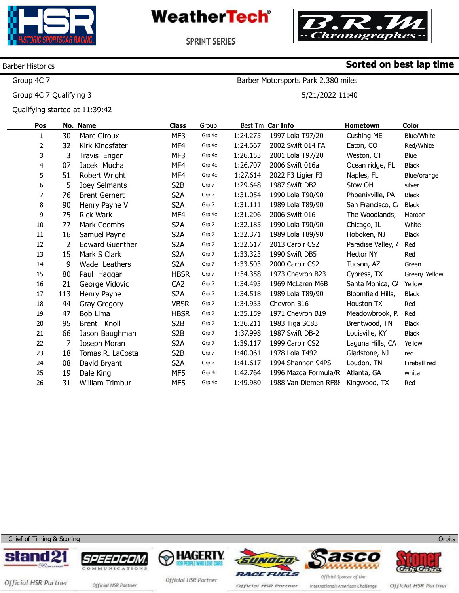



SPRINT SERIES

### Barber Historics

Group 4C 7

Group 4C 7 Qualifying 3

Qualifying started at 11:39:42

## **Sorted on best lap time**

Barber Motorsports Park 2.380 miles

5/21/2022 11:40

| Pos |     | No. Name               | <b>Class</b>     | Group  |          | Best Tm Car Info     | Hometown            | Color         |
|-----|-----|------------------------|------------------|--------|----------|----------------------|---------------------|---------------|
| 1   | 30  | <b>Marc Giroux</b>     | MF3              | Grp 4c | 1:24.275 | 1997 Lola T97/20     | Cushing ME          | Blue/White    |
| 2   | 32  | Kirk Kindsfater        | MF4              | Grp 4c | 1:24.667 | 2002 Swift 014 FA    | Eaton, CO           | Red/White     |
| 3   | 3   | Travis Engen           | MF3              | Grp 4c | 1:26.153 | 2001 Lola T97/20     | Weston, CT          | Blue          |
| 4   | 07  | Jacek Mucha            | MF4              | Grp 4c | 1:26.707 | 2006 Swift 016a      | Ocean ridge, FL     | <b>Black</b>  |
| 5   | 51  | Robert Wright          | MF4              | Grp 4c | 1:27.614 | 2022 F3 Ligier F3    | Naples, FL          | Blue/orange   |
| 6   | 5   | Joey Selmants          | S <sub>2</sub> B | Grp 7  | 1:29.648 | 1987 Swift DB2       | Stow OH             | silver        |
| 7   | 76  | <b>Brent Gernert</b>   | S <sub>2</sub> A | Grp 7  | 1:31.054 | 1990 Lola T90/90     | Phoenixville, PA    | <b>Black</b>  |
| 8   | 90  | Henry Payne V          | S <sub>2</sub> A | Grp 7  | 1:31.111 | 1989 Lola T89/90     | San Francisco, C    | <b>Black</b>  |
| 9   | 75  | <b>Rick Wark</b>       | MF4              | Grp 4c | 1:31.206 | 2006 Swift 016       | The Woodlands,      | Maroon        |
| 10  | 77  | Mark Coombs            | S <sub>2</sub> A | Grp 7  | 1:32.185 | 1990 Lola T90/90     | Chicago, IL         | White         |
| 11  | 16  | Samuel Payne           | S <sub>2</sub> A | Grp 7  | 1:32.371 | 1989 Lola T89/90     | Hoboken, NJ         | <b>Black</b>  |
| 12  | 2   | <b>Edward Guenther</b> | S <sub>2</sub> A | Grp 7  | 1:32.617 | 2013 Carbir CS2      | Paradise Valley, /  | Red           |
| 13  | 15  | Mark S Clark           | S <sub>2</sub> A | Grp 7  | 1:33.323 | 1990 Swift DB5       | <b>Hector NY</b>    | Red           |
| 14  | 9   | Wade Leathers          | S <sub>2</sub> A | Grp 7  | 1:33.503 | 2000 Carbir CS2      | Tucson, AZ          | Green         |
| 15  | 80  | Paul Haggar            | <b>HBSR</b>      | Grp 7  | 1:34.358 | 1973 Chevron B23     | Cypress, TX         | Green/ Yellow |
| 16  | 21  | George Vidovic         | CA <sub>2</sub>  | Grp 7  | 1:34.493 | 1969 McLaren M6B     | Santa Monica, C/    | Yellow        |
| 17  | 113 | Henry Payne            | S <sub>2</sub> A | Grp 7  | 1:34.518 | 1989 Lola T89/90     | Bloomfield Hills, I | <b>Black</b>  |
| 18  | 44  | Gray Gregory           | <b>VBSR</b>      | Grp 7  | 1:34.933 | Chevron B16          | Houston TX          | Red           |
| 19  | 47  | Bob Lima               | <b>HBSR</b>      | Grp 7  | 1:35.159 | 1971 Chevron B19     | Meadowbrook, P      | Red           |
| 20  | 95  | Brent Knoll            | S <sub>2</sub> B | Grp 7  | 1:36.211 | 1983 Tiga SC83       | Brentwood, TN       | <b>Black</b>  |
| 21  | 66  | Jason Baughman         | S <sub>2</sub> B | Grp 7  | 1:37.998 | 1987 Swift DB-2      | Louisville, KY      | <b>Black</b>  |
| 22  | 7   | Joseph Moran           | S <sub>2</sub> A | Grp 7  | 1:39.117 | 1999 Carbir CS2      | Laguna Hills, CA    | Yellow        |
| 23  | 18  | Tomas R. LaCosta       | S <sub>2</sub> B | Grp 7  | 1:40.061 | 1978 Lola T492       | Gladstone, NJ       | red           |
| 24  | 08  | David Bryant           | S <sub>2</sub> A | Grp 7  | 1:41.617 | 1994 Shannon 94PS    | Loudon, TN          | Fireball red  |
| 25  | 19  | Dale King              | MF5              | Grp 4c | 1:42.764 | 1996 Mazda Formula/R | Atlanta, GA         | white         |
| 26  | 31  | William Trimbur        | MF5              | Grp 4c | 1:49.980 | 1988 Van Diemen RF88 | Kingwood, TX        | Red           |
|     |     |                        |                  |        |          |                      |                     |               |

Chief of Timing & Scoring













Official HSR Partner official HSR Partner

Official HSR Partner

Official HSR Partner

International/American Challenge

Official HSR Partner

**Orbits**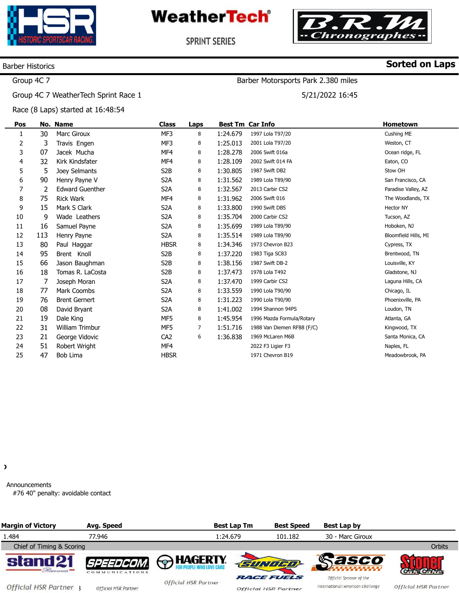



Barber Motorsports Park 2.380 miles

5/21/2022 16:45

**SPRINT SERIES** 

### Barber Historics

## **Sorted on Laps**

### Group 4C 7

Group 4C 7 WeatherTech Sprint Race 1

Race (8 Laps) started at 16:48:54

| Pos |     | No. Name               | <b>Class</b>     | Laps |          | <b>Best Tm Car Info</b>    | Hometown             |
|-----|-----|------------------------|------------------|------|----------|----------------------------|----------------------|
| 1   | 30  | <b>Marc Giroux</b>     | MF3              | 8    | 1:24.679 | 1997 Lola T97/20           | Cushing ME           |
| 2   | 3   | Travis Engen           | MF3              | 8    | 1:25.013 | 2001 Lola T97/20           | Weston, CT           |
| 3   | 07  | Jacek Mucha            | MF4              | 8    | 1:28.278 | 2006 Swift 016a            | Ocean ridge, FL      |
| 4   | 32  | Kirk Kindsfater        | MF4              | 8    | 1:28.109 | 2002 Swift 014 FA          | Eaton, CO            |
| 5   | 5   | Joey Selmants          | S <sub>2</sub> B | 8    | 1:30.805 | 1987 Swift DB2             | Stow OH              |
| 6   | 90  | Henry Payne V          | S <sub>2</sub> A | 8    | 1:31.562 | 1989 Lola T89/90           | San Francisco, CA    |
| 7   | 2   | <b>Edward Guenther</b> | S <sub>2</sub> A | 8    | 1:32.567 | 2013 Carbir CS2            | Paradise Valley, AZ  |
| 8   | 75  | <b>Rick Wark</b>       | MF4              | 8    | 1:31.962 | 2006 Swift 016             | The Woodlands, TX    |
| 9   | 15  | Mark S Clark           | S <sub>2</sub> A | 8    | 1:33.800 | 1990 Swift DB5             | <b>Hector NY</b>     |
| 10  | 9   | Wade Leathers          | S <sub>2</sub> A | 8    | 1:35.704 | 2000 Carbir CS2            | Tucson, AZ           |
| 11  | 16  | Samuel Payne           | S <sub>2</sub> A | 8    | 1:35.699 | 1989 Lola T89/90           | Hoboken, NJ          |
| 12  | 113 | Henry Payne            | S <sub>2</sub> A | 8    | 1:35.514 | 1989 Lola T89/90           | Bloomfield Hills, MI |
| 13  | 80  | Paul Haggar            | <b>HBSR</b>      | 8    | 1:34.346 | 1973 Chevron B23           | Cypress, TX          |
| 14  | 95  | Brent Knoll            | S <sub>2</sub> B | 8    | 1:37.220 | 1983 Tiga SC83             | Brentwood, TN        |
| 15  | 66  | Jason Baughman         | S <sub>2</sub> B | 8    | 1:38.156 | 1987 Swift DB-2            | Louisville, KY       |
| 16  | 18  | Tomas R. LaCosta       | S <sub>2</sub> B | 8    | 1:37.473 | 1978 Lola T492             | Gladstone, NJ        |
| 17  | 7   | Joseph Moran           | S <sub>2</sub> A | 8    | 1:37.470 | 1999 Carbir CS2            | Laguna Hills, CA     |
| 18  | 77  | Mark Coombs            | S <sub>2</sub> A | 8    | 1:33.559 | 1990 Lola T90/90           | Chicago, IL          |
| 19  | 76  | <b>Brent Gernert</b>   | S <sub>2</sub> A | 8    | 1:31.223 | 1990 Lola T90/90           | Phoenixville, PA     |
| 20  | 08  | David Bryant           | S <sub>2</sub> A | 8    | 1:41.002 | 1994 Shannon 94PS          | Loudon, TN           |
| 21  | 19  | Dale King              | MF5              | 8    | 1:45.954 | 1996 Mazda Formula/Rotary  | Atlanta, GA          |
| 22  | 31  | <b>William Trimbur</b> | MF5              | 7    | 1:51.716 | 1988 Van Diemen RF88 (F/C) | Kingwood, TX         |
| 23  | 21  | George Vidovic         | CA <sub>2</sub>  | 6    | 1:36.838 | 1969 McLaren M6B           | Santa Monica, CA     |
| 24  | 51  | Robert Wright          | MF4              |      |          | 2022 F3 Ligier F3          | Naples, FL           |
| 25  | 47  | Bob Lima               | <b>HBSR</b>      |      |          | 1971 Chevron B19           | Meadowbrook, PA      |

 $\lambda$ 

Announcements #76 40" penalty: avoidable contact

| <b>Margin of Victory</b>    | Avg. Speed                         |                             | <b>Best Lap Tm</b> | <b>Best Speed</b>                                | Best Lap by                                                 |                             |
|-----------------------------|------------------------------------|-----------------------------|--------------------|--------------------------------------------------|-------------------------------------------------------------|-----------------------------|
| 1.484                       | 77.946                             |                             | 1:24.679           | 101.182                                          | 30 - Marc Giroux                                            |                             |
| Chief of Timing & Scoring   |                                    |                             |                    |                                                  |                                                             | Orbits                      |
| stand21<br>Pacencar =       | <i>SPEEDCOM.</i><br>COMMUNICATIONS | <b>A</b> HAGERTY            |                    | <b>SUNDED</b>                                    | <b>Sasco</b>                                                |                             |
| <b>Official HSR Partner</b> | <b>Official HSR Partner</b>        | <b>Official HSR Partner</b> |                    | <b>RACE FUELS</b><br><b>Official HSR Partner</b> | Official Sponsor of the<br>International/American Challenge | <b>Official HSR Partner</b> |